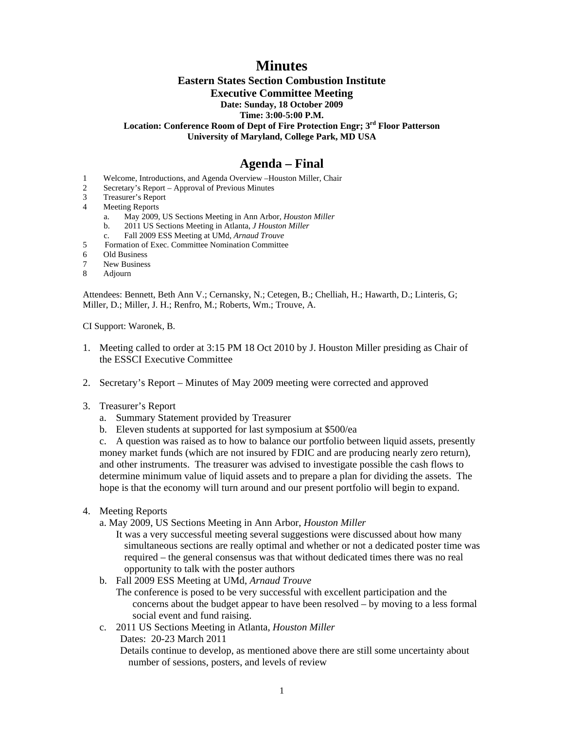# **Minutes**

### **Eastern States Section Combustion Institute Executive Committee Meeting Date: Sunday, 18 October 2009 Time: 3:00-5:00 P.M. Location: Conference Room of Dept of Fire Protection Engr; 3rd Floor Patterson University of Maryland, College Park, MD USA**

## **Agenda – Final**

- 1 Welcome, Introductions, and Agenda Overview –Houston Miller, Chair
- 2 Secretary's Report Approval of Previous Minutes
- 3 Treasurer's Report
- 4 Meeting Reports
	- a. May 2009, US Sections Meeting in Ann Arbor, *Houston Miller*
	- b. 2011 US Sections Meeting in Atlanta, *J Houston Miller*
	- c. Fall 2009 ESS Meeting at UMd, *Arnaud Trouve*
- 5 Formation of Exec. Committee Nomination Committee
- 6 Old Business
- 7 New Business<br>8 Adiourn
- **Adjourn**

Attendees: Bennett, Beth Ann V.; Cernansky, N.; Cetegen, B.; Chelliah, H.; Hawarth, D.; Linteris, G; Miller, D.; Miller, J. H.; Renfro, M.; Roberts, Wm.; Trouve, A.

CI Support: Waronek, B.

- 1. Meeting called to order at 3:15 PM 18 Oct 2010 by J. Houston Miller presiding as Chair of the ESSCI Executive Committee
- 2. Secretary's Report Minutes of May 2009 meeting were corrected and approved
- 3. Treasurer's Report
	- a. Summary Statement provided by Treasurer
	- b. Eleven students at supported for last symposium at \$500/ea

 c. A question was raised as to how to balance our portfolio between liquid assets, presently money market funds (which are not insured by FDIC and are producing nearly zero return), and other instruments. The treasurer was advised to investigate possible the cash flows to determine minimum value of liquid assets and to prepare a plan for dividing the assets. The hope is that the economy will turn around and our present portfolio will begin to expand.

- 4. Meeting Reports
	- a. May 2009, US Sections Meeting in Ann Arbor, *Houston Miller*
		- It was a very successful meeting several suggestions were discussed about how many simultaneous sections are really optimal and whether or not a dedicated poster time was required – the general consensus was that without dedicated times there was no real opportunity to talk with the poster authors
	- b. Fall 2009 ESS Meeting at UMd, *Arnaud Trouve*

The conference is posed to be very successful with excellent participation and the concerns about the budget appear to have been resolved – by moving to a less formal social event and fund raising.

c. 2011 US Sections Meeting in Atlanta, *Houston Miller* Dates: 20-23 March 2011

Details continue to develop, as mentioned above there are still some uncertainty about number of sessions, posters, and levels of review